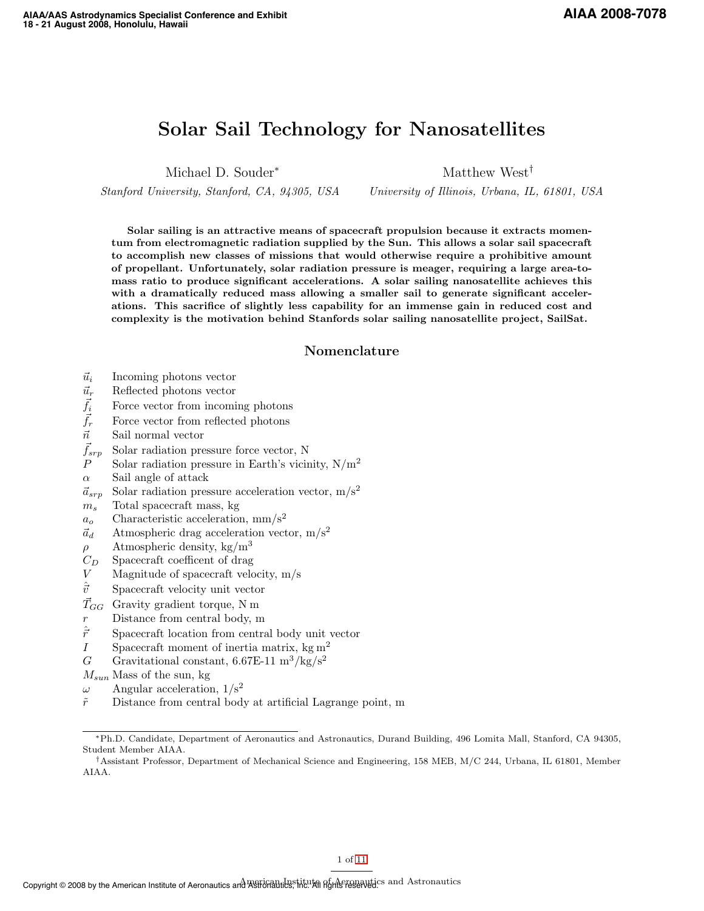# Solar Sail Technology for Nanosatellites

Michael D. Souder<sup>\*</sup>

Matthew West†

*Stanford University, Stanford, CA, 94305, USA*

*University of Illinois, Urbana, IL, 61801, USA*

Solar sailing is an attractive means of spacecraft propulsion because it extracts momentum from electromagnetic radiation supplied by the Sun. This allows a solar sail spacecraft to accomplish new classes of missions that would otherwise require a prohibitive amount of propellant. Unfortunately, solar radiation pressure is meager, requiring a large area-tomass ratio to produce significant accelerations. A solar sailing nanosatellite achieves this with a dramatically reduced mass allowing a smaller sail to generate significant accelerations. This sacrifice of slightly less capability for an immense gain in reduced cost and complexity is the motivation behind Stanfords solar sailing nanosatellite project, SailSat.

## Nomenclature

- $\vec{u}_i$  Incoming photons vector
- 
- Force vector from incoming photons
- $\vec{u}_r$  Reflected photons vector<br>
Force vector from incomi<br>
Force vector from reflect Force vector from reflected photons
- $\vec{n}$  Sail normal vector
- $\vec{f}_{srp}$  Solar radiation pressure force vector, N
- P Solar radiation pressure in Earth's vicinity,  $N/m^2$
- $\alpha$  Sail angle of attack
- $\vec{a}_{srp}$  Solar radiation pressure acceleration vector, m/s<sup>2</sup>
- m*<sup>s</sup>* Total spacecraft mass, kg
- $a<sub>o</sub>$  Characteristic acceleration, mm/s<sup>2</sup>
- $\vec{a}_d$  Atmospheric drag acceleration vector, m/s<sup>2</sup>
- $\rho$  Atmospheric density, kg/m<sup>3</sup>
- C*<sup>D</sup>* Spacecraft coefficent of drag
- $V$  Magnitude of spacecraft velocity,  $m/s$
- $\hat{\vec{v}}$  Spacecraft velocity unit vector
- $\overline{T}_{GG}$  Gravity gradient torque, N m
- Distance from central body, m
- $\hat{\vec{r}}$  Spacecraft location from central body unit vector
- I Spacecraft moment of inertia matrix, kg m<sup>2</sup>
- G Gravitational constant, 6.67E-11 m<sup>3</sup>/kg/s<sup>2</sup>
- M*sun* Mass of the sun, kg
- $\omega$  Angular acceleration,  $1/s^2$
- $\tilde{r}$  Distance from central body at artificial Lagrange point, m

<sup>∗</sup>Ph.D. Candidate, Department of Aeronautics and Astronautics, Durand Building, 496 Lomita Mall, Stanford, CA 94305, Student Member AIAA.

<sup>†</sup>Assistant Professor, Department of Mechanical Science and Engineering, 158 MEB, M/C 244, Urbana, IL 61801, Member AIAA.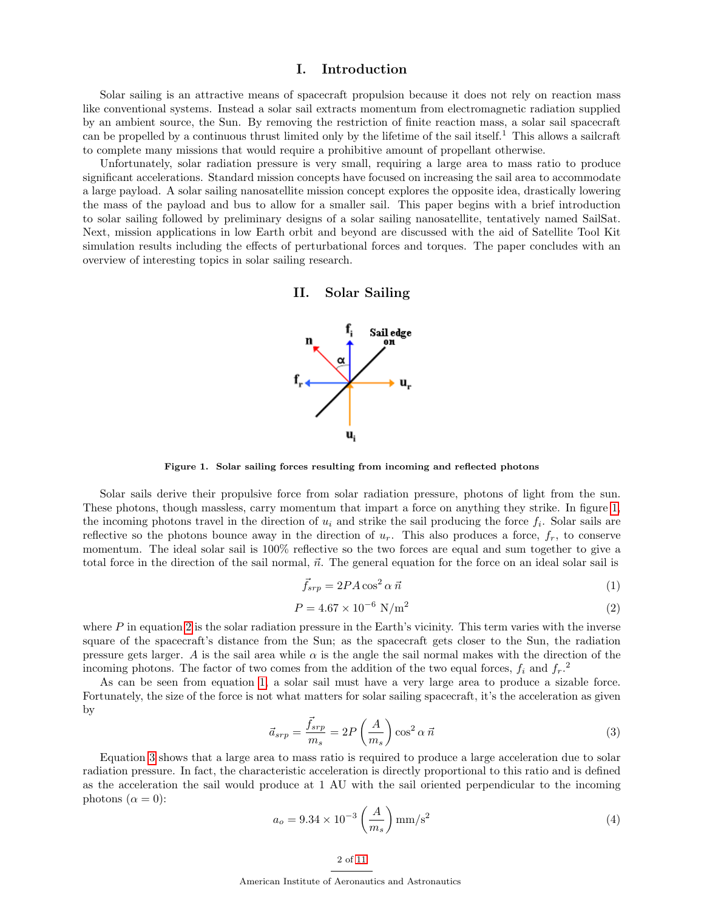# I. Introduction

Solar sailing is an attractive means of spacecraft propulsion because it does not rely on reaction mass like conventional systems. Instead a solar sail extracts momentum from electromagnetic radiation supplied by an ambient source, the Sun. By removing the restriction of finite reaction mass, a solar sail spacecraft can be propelled by a continuous thrust limited only by the lifetime of the sail itself.<sup>1</sup> This allows a sailcraft to complete many missions that would require a prohibitive amount of propellant otherwise.

Unfortunately, solar radiation pressure is very small, requiring a large area to mass ratio to produce significant accelerations. Standard mission concepts have focused on increasing the sail area to accommodate a large payload. A solar sailing nanosatellite mission concept explores the opposite idea, drastically lowering the mass of the payload and bus to allow for a smaller sail. This paper begins with a brief introduction to solar sailing followed by preliminary designs of a solar sailing nanosatellite, tentatively named SailSat. Next, mission applications in low Earth orbit and beyond are discussed with the aid of Satellite Tool Kit simulation results including the effects of perturbational forces and torques. The paper concludes with an overview of interesting topics in solar sailing research.





Figure 1. Solar sailing forces resulting from incoming and reflected photons

Solar sails derive their propulsive force from solar radiation pressure, photons of light from the sun. These photons, though massless, carry momentum that impart a force on anything they strike. In figure [1,](#page-2-0) the incoming photons travel in the direction of  $u_i$  and strike the sail producing the force  $f_i$ . Solar sails are reflective so the photons bounce away in the direction of  $u_r$ . This also produces a force,  $f_r$ , to conserve momentum. The ideal solar sail is 100% reflective so the two forces are equal and sum together to give a total force in the direction of the sail normal,  $\vec{n}$ . The general equation for the force on an ideal solar sail is

$$
\vec{f}_{srp} = 2PA\cos^2\alpha\,\vec{n} \tag{1}
$$

$$
P = 4.67 \times 10^{-6} \text{ N/m}^2
$$
 (2)

where  $P$  in equation [2](#page-2-1) is the solar radiation pressure in the Earth's vicinity. This term varies with the inverse square of the spacecraft's distance from the Sun; as the spacecraft gets closer to the Sun, the radiation pressure gets larger. A is the sail area while  $\alpha$  is the angle the sail normal makes with the direction of the incoming photons. The factor of two comes from the addition of the two equal forces,  $f_i$  and  $f_r$ <sup>2</sup>

As can be seen from equation [1,](#page-2-2) a solar sail must have a very large area to produce a sizable force. Fortunately, the size of the force is not what matters for solar sailing spacecraft, it's the acceleration as given by

$$
\vec{a}_{srp} = \frac{\vec{f}_{srp}}{m_s} = 2P\left(\frac{A}{m_s}\right)\cos^2\alpha\,\vec{n}
$$
\n(3)

Equation [3](#page-2-3) shows that a large area to mass ratio is required to produce a large acceleration due to solar radiation pressure. In fact, the characteristic acceleration is directly proportional to this ratio and is defined as the acceleration the sail would produce at 1 AU with the sail oriented perpendicular to the incoming photons  $(\alpha = 0)$ :

$$
a_o = 9.34 \times 10^{-3} \left(\frac{A}{m_s}\right) \text{mm/s}^2 \tag{4}
$$

2 of 11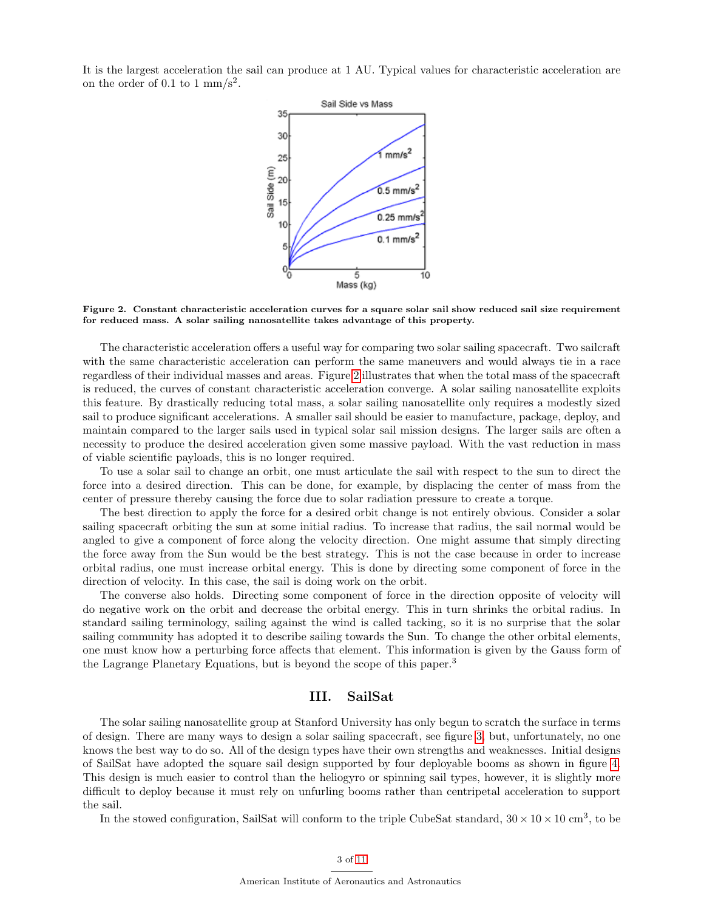It is the largest acceleration the sail can produce at 1 AU. Typical values for characteristic acceleration are on the order of 0.1 to 1  $mm/s<sup>2</sup>$ .



Figure 2. Constant characteristic acceleration curves for a square solar sail show reduced sail size requirement for reduced mass. A solar sailing nanosatellite takes advantage of this property.

The characteristic acceleration offers a useful way for comparing two solar sailing spacecraft. Two sailcraft with the same characteristic acceleration can perform the same maneuvers and would always tie in a race regardless of their individual masses and areas. Figure [2](#page-3-0) illustrates that when the total mass of the spacecraft is reduced, the curves of constant characteristic acceleration converge. A solar sailing nanosatellite exploits this feature. By drastically reducing total mass, a solar sailing nanosatellite only requires a modestly sized sail to produce significant accelerations. A smaller sail should be easier to manufacture, package, deploy, and maintain compared to the larger sails used in typical solar sail mission designs. The larger sails are often a necessity to produce the desired acceleration given some massive payload. With the vast reduction in mass of viable scientific payloads, this is no longer required.

<span id="page-2-0"></span>To use a solar sail to change an orbit, one must articulate the sail with respect to the sun to direct the force into a desired direction. This can be done, for example, by displacing the center of mass from the center of pressure thereby causing the force due to solar radiation pressure to create a torque.

The best direction to apply the force for a desired orbit change is not entirely obvious. Consider a solar sailing spacecraft orbiting the sun at some initial radius. To increase that radius, the sail normal would be angled to give a component of force along the velocity direction. One might assume that simply directing the force away from the Sun would be the best strategy. This is not the case because in order to increase orbital radius, one must increase orbital energy. This is done by directing some component of force in the direction of velocity. In this case, the sail is doing work on the orbit.

The converse also holds. Directing some component of force in the direction opposite of velocity will do negative work on the orbit and decrease the orbital energy. This in turn shrinks the orbital radius. In standard sailing terminology, sailing against the wind is called tacking, so it is no surprise that the solar sailing community has adopted it to describe sailing towards the Sun. To change the other orbital elements, one must know how a perturbing force affects that element. This information is given by the Gauss form of the Lagrange Planetary Equations, but is beyond the scope of this paper.<sup>3</sup>

## <span id="page-2-3"></span><span id="page-2-2"></span><span id="page-2-1"></span>III. SailSat

The solar sailing nanosatellite group at Stanford University has only begun to scratch the surface in terms of design. There are many ways to design a solar sailing spacecraft, see figure [3,](#page-4-0) but, unfortunately, no one knows the best way to do so. All of the design types have their own strengths and weaknesses. Initial designs of SailSat have adopted the square sail design supported by four deployable booms as shown in figure [4.](#page-4-1) This design is much easier to control than the heliogyro or spinning sail types, however, it is slightly more difficult to deploy because it must rely on unfurling booms rather than centripetal acceleration to support the sail.

In the stowed configuration, SailSat will conform to the triple CubeSat standard,  $30 \times 10 \times 10$  cm<sup>3</sup>, to be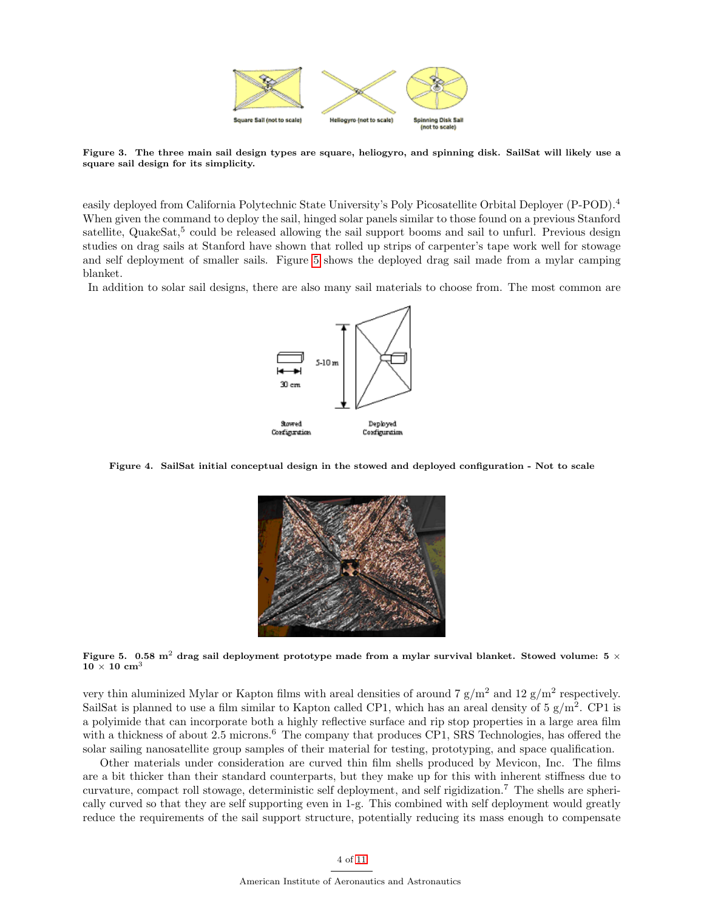

Figure 3. The three main sail design types are square, heliogyro, and spinning disk. SailSat will likely use a square sail design for its simplicity.

easily deployed from California Polytechnic State University's Poly Picosatellite Orbital Deployer (P-POD).<sup>4</sup> When given the command to deploy the sail, hinged solar panels similar to those found on a previous Stanford satellite, QuakeSat, $5$  could be released allowing the sail support booms and sail to unfurl. Previous design studies on drag sails at Stanford have shown that rolled up strips of carpenter's tape work well for stowage and self deployment of smaller sails. Figure [5](#page-4-2) shows the deployed drag sail made from a mylar camping blanket.

<span id="page-3-0"></span>In addition to solar sail designs, there are also many sail materials to choose from. The most common are



Figure 4. SailSat initial conceptual design in the stowed and deployed configuration - Not to scale



Figure 5. 0.58 m<sup>2</sup> drag sail deployment prototype made from a mylar survival blanket. Stowed volume: 5  $\times$  $10 \times 10 \text{ cm}^3$ 

very thin aluminized Mylar or Kapton films with areal densities of around 7  $g/m^2$  and 12  $g/m^2$  respectively. SailSat is planned to use a film similar to Kapton called CP1, which has an areal density of  $5 g/m^2$ . CP1 is a polyimide that can incorporate both a highly reflective surface and rip stop properties in a large area film with a thickness of about 2.5 microns.<sup>6</sup> The company that produces CP1, SRS Technologies, has offered the solar sailing nanosatellite group samples of their material for testing, prototyping, and space qualification.

Other materials under consideration are curved thin film shells produced by Mevicon, Inc. The films are a bit thicker than their standard counterparts, but they make up for this with inherent stiffness due to curvature, compact roll stowage, deterministic self deployment, and self rigidization.<sup>7</sup> The shells are spherically curved so that they are self supporting even in 1-g. This combined with self deployment would greatly reduce the requirements of the sail support structure, potentially reducing its mass enough to compensate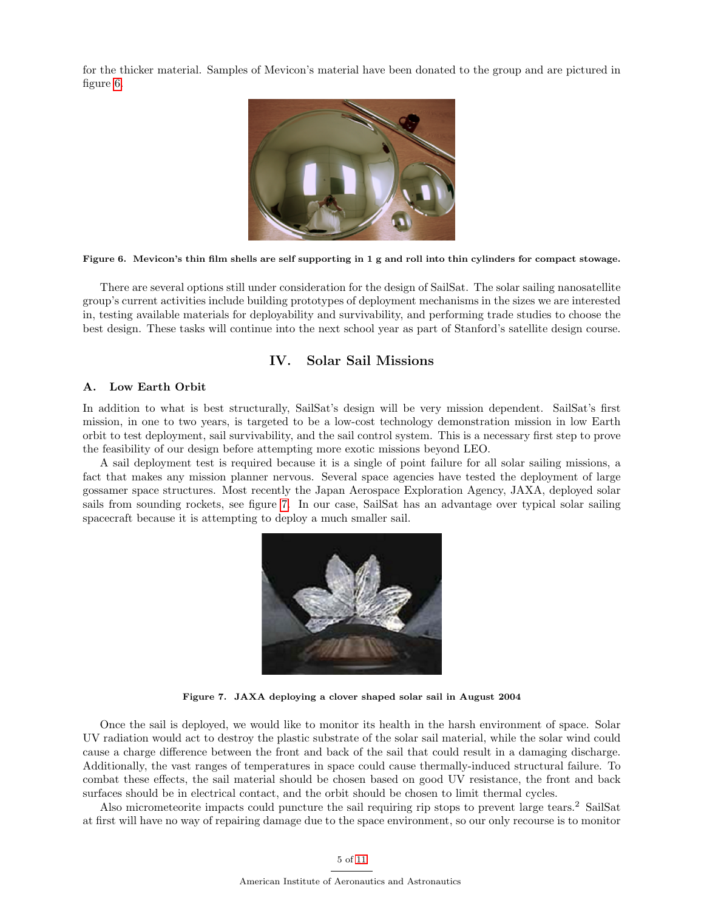<span id="page-4-0"></span>for the thicker material. Samples of Mevicon's material have been donated to the group and are pictured in figure [6.](#page-5-0)



Figure 6. Mevicon's thin film shells are self supporting in 1 g and roll into thin cylinders for compact stowage.

There are several options still under consideration for the design of SailSat. The solar sailing nanosatellite group's current activities include building prototypes of deployment mechanisms in the sizes we are interested in, testing available materials for deployability and survivability, and performing trade studies to choose the best design. These tasks will continue into the next school year as part of Stanford's satellite design course.

# IV. Solar Sail Missions

### A. Low Earth Orbit

In addition to what is best structurally, SailSat's design will be very mission dependent. SailSat's first mission, in one to two years, is targeted to be a low-cost technology demonstration mission in low Earth orbit to test deployment, sail survivability, and the sail control system. This is a necessary first step to prove the feasibility of our design before attempting more exotic missions beyond LEO.

A sail deployment test is required because it is a single of point failure for all solar sailing missions, a fact that makes any mission planner nervous. Several space agencies have tested the deployment of large gossamer space structures. Most recently the Japan Aerospace Exploration Agency, JAXA, deployed solar sails from sounding rockets, see figure [7.](#page-5-1) In our case, SailSat has an advantage over typical solar sailing spacecraft because it is attempting to deploy a much smaller sail.

<span id="page-4-1"></span>

Figure 7. JAXA deploying a clover shaped solar sail in August 2004

<span id="page-4-2"></span>Once the sail is deployed, we would like to monitor its health in the harsh environment of space. Solar UV radiation would act to destroy the plastic substrate of the solar sail material, while the solar wind could cause a charge difference between the front and back of the sail that could result in a damaging discharge. Additionally, the vast ranges of temperatures in space could cause thermally-induced structural failure. To combat these effects, the sail material should be chosen based on good UV resistance, the front and back surfaces should be in electrical contact, and the orbit should be chosen to limit thermal cycles.

Also micrometeorite impacts could puncture the sail requiring rip stops to prevent large tears.<sup>2</sup> SailSat at first will have no way of repairing damage due to the space environment, so our only recourse is to monitor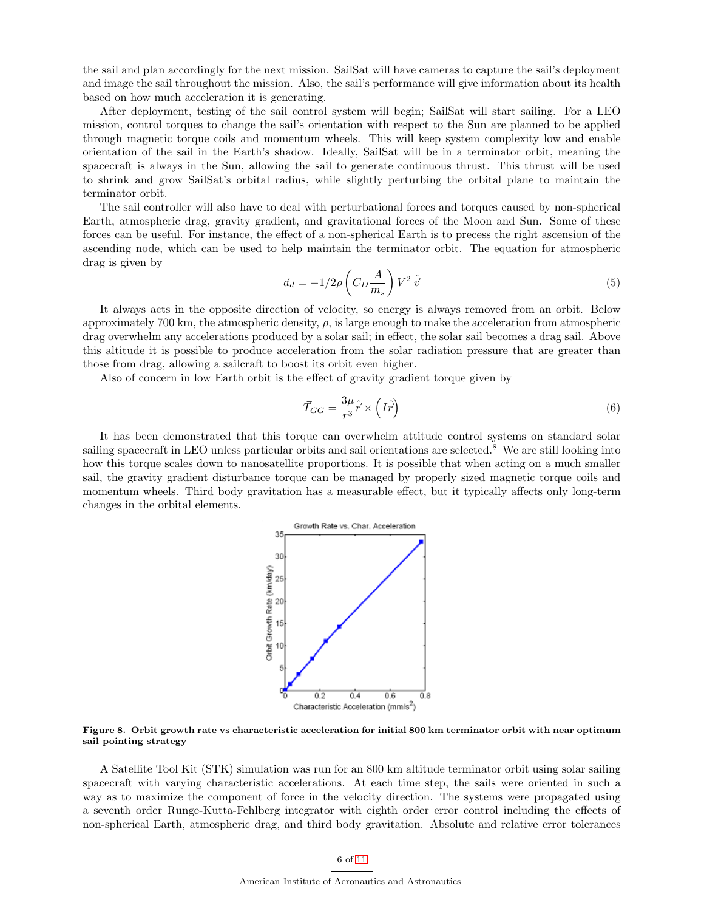the sail and plan accordingly for the next mission. SailSat will have cameras to capture the sail's deployment and image the sail throughout the mission. Also, the sail's performance will give information about its health based on how much acceleration it is generating.

After deployment, testing of the sail control system will begin; SailSat will start sailing. For a LEO mission, control torques to change the sail's orientation with respect to the Sun are planned to be applied through magnetic torque coils and momentum wheels. This will keep system complexity low and enable orientation of the sail in the Earth's shadow. Ideally, SailSat will be in a terminator orbit, meaning the spacecraft is always in the Sun, allowing the sail to generate continuous thrust. This thrust will be used to shrink and grow SailSat's orbital radius, while slightly perturbing the orbital plane to maintain the terminator orbit.

<span id="page-5-0"></span>The sail controller will also have to deal with perturbational forces and torques caused by non-spherical Earth, atmospheric drag, gravity gradient, and gravitational forces of the Moon and Sun. Some of these forces can be useful. For instance, the effect of a non-spherical Earth is to precess the right ascension of the ascending node, which can be used to help maintain the terminator orbit. The equation for atmospheric drag is given by

$$
\vec{a}_d = -1/2\rho \left( C_D \frac{A}{m_s} \right) V^2 \hat{v}
$$
\n<sup>(5)</sup>

It always acts in the opposite direction of velocity, so energy is always removed from an orbit. Below approximately 700 km, the atmospheric density,  $\rho$ , is large enough to make the acceleration from atmospheric drag overwhelm any accelerations produced by a solar sail; in effect, the solar sail becomes a drag sail. Above this altitude it is possible to produce acceleration from the solar radiation pressure that are greater than those from drag, allowing a sailcraft to boost its orbit even higher.

Also of concern in low Earth orbit is the effect of gravity gradient torque given by

$$
\vec{T}_{GG} = \frac{3\mu}{r^3} \hat{r} \times \left(\hat{I}\hat{r}\right) \tag{6}
$$

It has been demonstrated that this torque can overwhelm attitude control systems on standard solar sailing spacecraft in LEO unless particular orbits and sail orientations are selected.<sup>8</sup> We are still looking into how this torque scales down to nanosatellite proportions. It is possible that when acting on a much smaller sail, the gravity gradient disturbance torque can be managed by properly sized magnetic torque coils and momentum wheels. Third body gravitation has a measurable effect, but it typically affects only long-term changes in the orbital elements.



<span id="page-5-1"></span>Figure 8. Orbit growth rate vs characteristic acceleration for initial 800 km terminator orbit with near optimum sail pointing strategy

A Satellite Tool Kit (STK) simulation was run for an 800 km altitude terminator orbit using solar sailing spacecraft with varying characteristic accelerations. At each time step, the sails were oriented in such a way as to maximize the component of force in the velocity direction. The systems were propagated using a seventh order Runge-Kutta-Fehlberg integrator with eighth order error control including the effects of non-spherical Earth, atmospheric drag, and third body gravitation. Absolute and relative error tolerances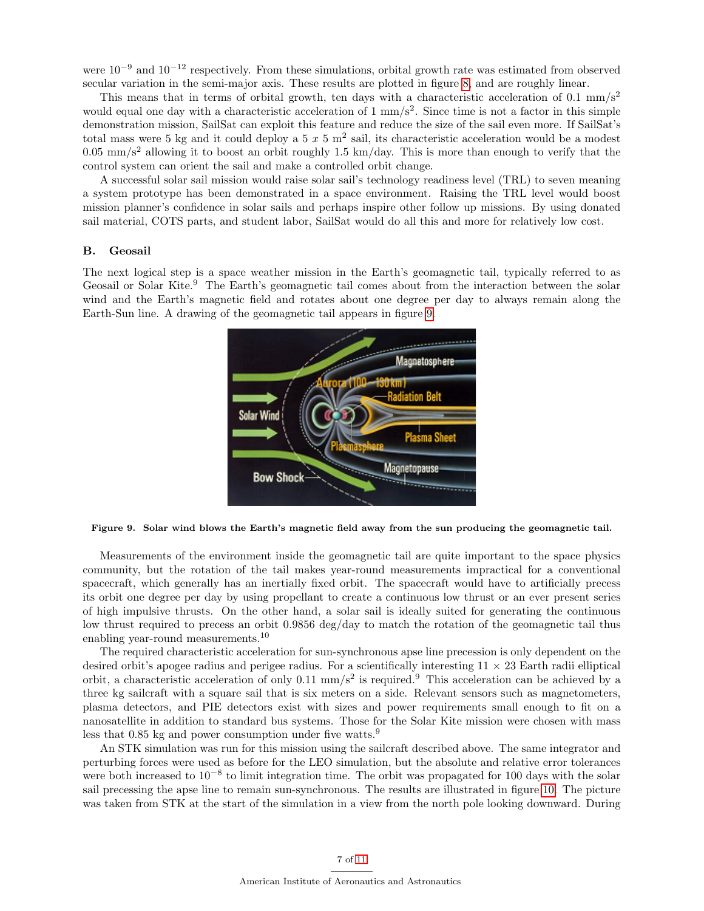were 10−<sup>9</sup> and 10−<sup>12</sup> respectively. From these simulations, orbital growth rate was estimated from observed secular variation in the semi-major axis. These results are plotted in figure [8,](#page-6-0) and are roughly linear.

This means that in terms of orbital growth, ten days with a characteristic acceleration of 0.1 mm/s<sup>2</sup> would equal one day with a characteristic acceleration of  $1 \text{ mm/s}^2$ . Since time is not a factor in this simple demonstration mission, SailSat can exploit this feature and reduce the size of the sail even more. If SailSat's total mass were 5 kg and it could deploy a 5  $x$  5  $m<sup>2</sup>$  sail, its characteristic acceleration would be a modest 0.05 mm/s<sup>2</sup> allowing it to boost an orbit roughly 1.5 km/day. This is more than enough to verify that the control system can orient the sail and make a controlled orbit change.

A successful solar sail mission would raise solar sail's technology readiness level (TRL) to seven meaning a system prototype has been demonstrated in a space environment. Raising the TRL level would boost mission planner's confidence in solar sails and perhaps inspire other follow up missions. By using donated sail material, COTS parts, and student labor, SailSat would do all this and more for relatively low cost.

#### B. Geosail

The next logical step is a space weather mission in the Earth's geomagnetic tail, typically referred to as Geosail or Solar Kite.<sup>9</sup> The Earth's geomagnetic tail comes about from the interaction between the solar wind and the Earth's magnetic field and rotates about one degree per day to always remain along the Earth-Sun line. A drawing of the geomagnetic tail appears in figure [9.](#page-7-0)



Figure 9. Solar wind blows the Earth's magnetic field away from the sun producing the geomagnetic tail.

Measurements of the environment inside the geomagnetic tail are quite important to the space physics community, but the rotation of the tail makes year-round measurements impractical for a conventional spacecraft, which generally has an inertially fixed orbit. The spacecraft would have to artificially precess its orbit one degree per day by using propellant to create a continuous low thrust or an ever present series of high impulsive thrusts. On the other hand, a solar sail is ideally suited for generating the continuous low thrust required to precess an orbit 0.9856 deg/day to match the rotation of the geomagnetic tail thus enabling year-round measurements.<sup>10</sup>

The required characteristic acceleration for sun-synchronous apse line precession is only dependent on the desired orbit's apogee radius and perigee radius. For a scientifically interesting  $11 \times 23$  Earth radii elliptical orbit, a characteristic acceleration of only 0.11  $mm/s^2$  is required.<sup>9</sup> This acceleration can be achieved by a three kg sailcraft with a square sail that is six meters on a side. Relevant sensors such as magnetometers, plasma detectors, and PIE detectors exist with sizes and power requirements small enough to fit on a nanosatellite in addition to standard bus systems. Those for the Solar Kite mission were chosen with mass less that 0.85 kg and power consumption under five watts.<sup>9</sup>

<span id="page-6-0"></span>An STK simulation was run for this mission using the sailcraft described above. The same integrator and perturbing forces were used as before for the LEO simulation, but the absolute and relative error tolerances were both increased to  $10^{-8}$  to limit integration time. The orbit was propagated for 100 days with the solar sail precessing the apse line to remain sun-synchronous. The results are illustrated in figure [10.](#page-8-0) The picture was taken from STK at the start of the simulation in a view from the north pole looking downward. During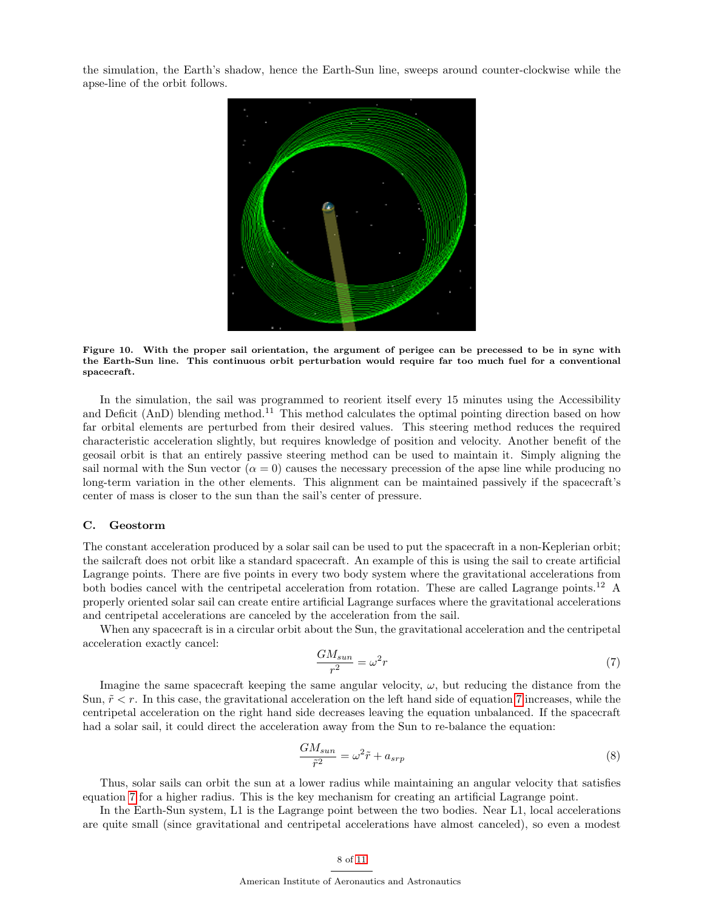the simulation, the Earth's shadow, hence the Earth-Sun line, sweeps around counter-clockwise while the apse-line of the orbit follows.



Figure 10. With the proper sail orientation, the argument of perigee can be precessed to be in sync with the Earth-Sun line. This continuous orbit perturbation would require far too much fuel for a conventional spacecraft.

In the simulation, the sail was programmed to reorient itself every 15 minutes using the Accessibility and Deficit (AnD) blending method.<sup>11</sup> This method calculates the optimal pointing direction based on how far orbital elements are perturbed from their desired values. This steering method reduces the required characteristic acceleration slightly, but requires knowledge of position and velocity. Another benefit of the geosail orbit is that an entirely passive steering method can be used to maintain it. Simply aligning the sail normal with the Sun vector  $(\alpha = 0)$  causes the necessary precession of the apse line while producing no long-term variation in the other elements. This alignment can be maintained passively if the spacecraft's center of mass is closer to the sun than the sail's center of pressure.

#### <span id="page-7-0"></span>C. Geostorm

The constant acceleration produced by a solar sail can be used to put the spacecraft in a non-Keplerian orbit; the sailcraft does not orbit like a standard spacecraft. An example of this is using the sail to create artificial Lagrange points. There are five points in every two body system where the gravitational accelerations from both bodies cancel with the centripetal acceleration from rotation. These are called Lagrange points.<sup>12</sup> A properly oriented solar sail can create entire artificial Lagrange surfaces where the gravitational accelerations and centripetal accelerations are canceled by the acceleration from the sail.

When any spacecraft is in a circular orbit about the Sun, the gravitational acceleration and the centripetal acceleration exactly cancel:

$$
\frac{GM_{sun}}{r^2} = \omega^2 r \tag{7}
$$

Imagine the same spacecraft keeping the same angular velocity,  $\omega$ , but reducing the distance from the Sun,  $\tilde{r} < r$ . In this case, the gravitational acceleration on the left hand side of equation [7](#page-8-1) increases, while the centripetal acceleration on the right hand side decreases leaving the equation unbalanced. If the spacecraft had a solar sail, it could direct the acceleration away from the Sun to re-balance the equation:

$$
\frac{GM_{sun}}{\tilde{r}^2} = \omega^2 \tilde{r} + a_{srp} \tag{8}
$$

Thus, solar sails can orbit the sun at a lower radius while maintaining an angular velocity that satisfies equation [7](#page-8-1) for a higher radius. This is the key mechanism for creating an artificial Lagrange point.

In the Earth-Sun system, L1 is the Lagrange point between the two bodies. Near L1, local accelerations are quite small (since gravitational and centripetal accelerations have almost canceled), so even a modest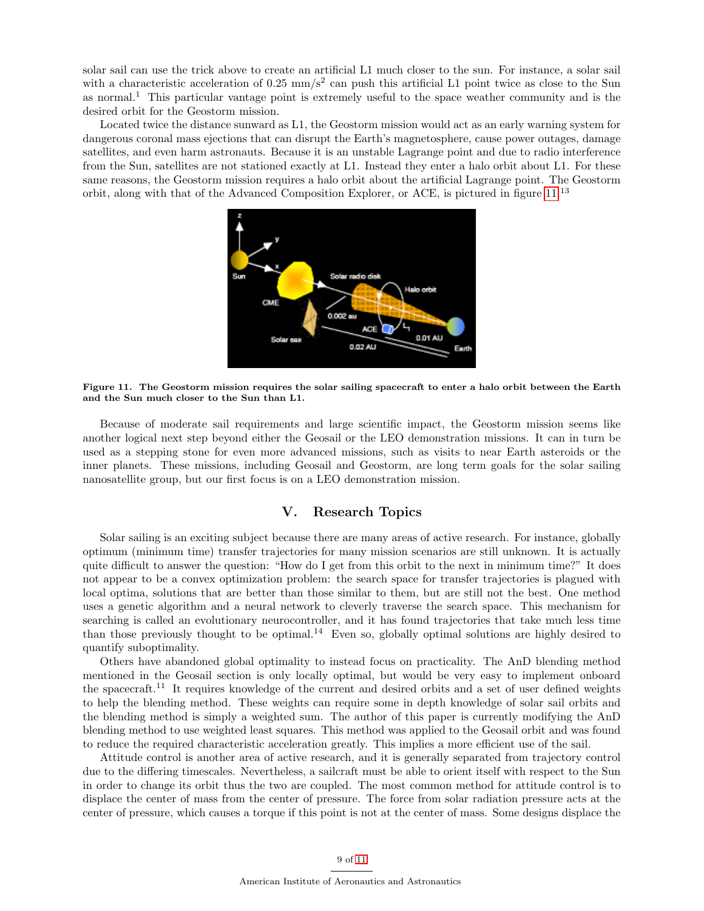solar sail can use the trick above to create an artificial L1 much closer to the sun. For instance, a solar sail with a characteristic acceleration of  $0.25 \text{ mm/s}^2$  can push this artificial L1 point twice as close to the Sun as normal.<sup>1</sup> This particular vantage point is extremely useful to the space weather community and is the desired orbit for the Geostorm mission.

Located twice the distance sunward as L1, the Geostorm mission would act as an early warning system for dangerous coronal mass ejections that can disrupt the Earth's magnetosphere, cause power outages, damage satellites, and even harm astronauts. Because it is an unstable Lagrange point and due to radio interference from the Sun, satellites are not stationed exactly at L1. Instead they enter a halo orbit about L1. For these same reasons, the Geostorm mission requires a halo orbit about the artificial Lagrange point. The Geostorm orbit, along with that of the Advanced Composition Explorer, or ACE, is pictured in figure [11.](#page-9-0)<sup>13</sup>



<span id="page-8-0"></span>Figure 11. The Geostorm mission requires the solar sailing spacecraft to enter a halo orbit between the Earth and the Sun much closer to the Sun than L1.

Because of moderate sail requirements and large scientific impact, the Geostorm mission seems like another logical next step beyond either the Geosail or the LEO demonstration missions. It can in turn be used as a stepping stone for even more advanced missions, such as visits to near Earth asteroids or the inner planets. These missions, including Geosail and Geostorm, are long term goals for the solar sailing nanosatellite group, but our first focus is on a LEO demonstration mission.

# <span id="page-8-1"></span>V. Research Topics

Solar sailing is an exciting subject because there are many areas of active research. For instance, globally optimum (minimum time) transfer trajectories for many mission scenarios are still unknown. It is actually quite difficult to answer the question: "How do I get from this orbit to the next in minimum time?" It does not appear to be a convex optimization problem: the search space for transfer trajectories is plagued with local optima, solutions that are better than those similar to them, but are still not the best. One method uses a genetic algorithm and a neural network to cleverly traverse the search space. This mechanism for searching is called an evolutionary neurocontroller, and it has found trajectories that take much less time than those previously thought to be optimal.<sup>14</sup> Even so, globally optimal solutions are highly desired to quantify suboptimality.

Others have abandoned global optimality to instead focus on practicality. The AnD blending method mentioned in the Geosail section is only locally optimal, but would be very easy to implement onboard the spacecraft.<sup>11</sup> It requires knowledge of the current and desired orbits and a set of user defined weights to help the blending method. These weights can require some in depth knowledge of solar sail orbits and the blending method is simply a weighted sum. The author of this paper is currently modifying the AnD blending method to use weighted least squares. This method was applied to the Geosail orbit and was found to reduce the required characteristic acceleration greatly. This implies a more efficient use of the sail.

Attitude control is another area of active research, and it is generally separated from trajectory control due to the differing timescales. Nevertheless, a sailcraft must be able to orient itself with respect to the Sun in order to change its orbit thus the two are coupled. The most common method for attitude control is to displace the center of mass from the center of pressure. The force from solar radiation pressure acts at the center of pressure, which causes a torque if this point is not at the center of mass. Some designs displace the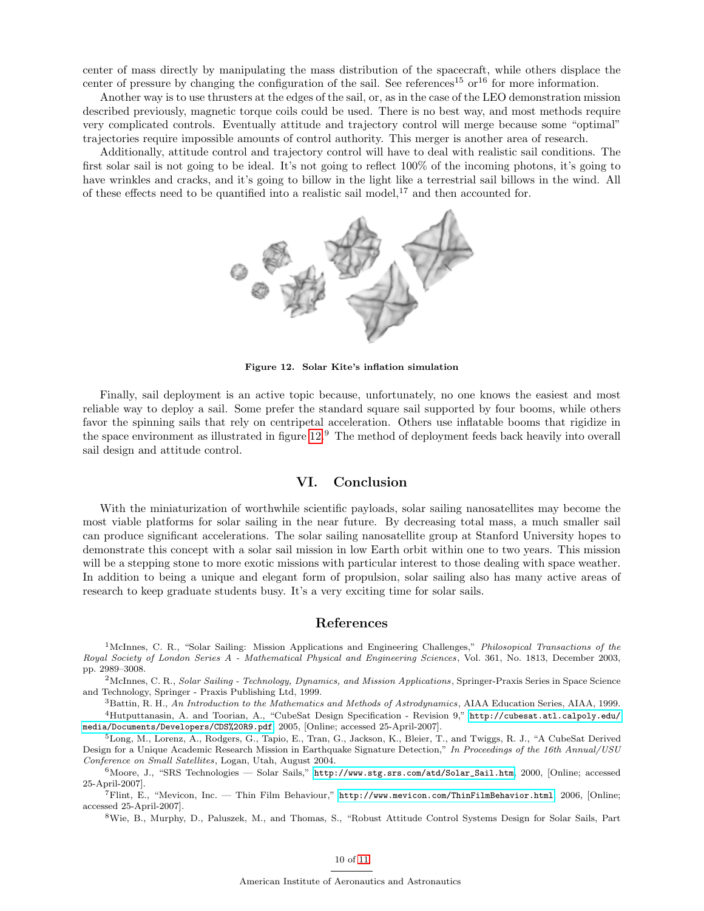center of mass directly by manipulating the mass distribution of the spacecraft, while others displace the center of pressure by changing the configuration of the sail. See references<sup>15</sup> or<sup>16</sup> for more information.

Another way is to use thrusters at the edges of the sail, or, as in the case of the LEO demonstration mission described previously, magnetic torque coils could be used. There is no best way, and most methods require very complicated controls. Eventually attitude and trajectory control will merge because some "optimal" trajectories require impossible amounts of control authority. This merger is another area of research.

Additionally, attitude control and trajectory control will have to deal with realistic sail conditions. The first solar sail is not going to be ideal. It's not going to reflect 100% of the incoming photons, it's going to have wrinkles and cracks, and it's going to billow in the light like a terrestrial sail billows in the wind. All of these effects need to be quantified into a realistic sail model,  $17$  and then accounted for.



Figure 12. Solar Kite's inflation simulation

<span id="page-9-0"></span>Finally, sail deployment is an active topic because, unfortunately, no one knows the easiest and most reliable way to deploy a sail. Some prefer the standard square sail supported by four booms, while others favor the spinning sails that rely on centripetal acceleration. Others use inflatable booms that rigidize in the space environment as illustrated in figure [12.](#page-10-0)<sup>9</sup> The method of deployment feeds back heavily into overall sail design and attitude control.

## VI. Conclusion

With the miniaturization of worthwhile scientific payloads, solar sailing nanosatellites may become the most viable platforms for solar sailing in the near future. By decreasing total mass, a much smaller sail can produce significant accelerations. The solar sailing nanosatellite group at Stanford University hopes to demonstrate this concept with a solar sail mission in low Earth orbit within one to two years. This mission will be a stepping stone to more exotic missions with particular interest to those dealing with space weather. In addition to being a unique and elegant form of propulsion, solar sailing also has many active areas of research to keep graduate students busy. It's a very exciting time for solar sails.

## References

<sup>1</sup>McInnes, C. R., "Solar Sailing: Mission Applications and Engineering Challenges," *Philosopical Transactions of the Royal Society of London Series A - Mathematical Physical and Engineering Sciences*, Vol. 361, No. 1813, December 2003, pp. 2989–3008.

<sup>2</sup>McInnes, C. R., *Solar Sailing - Technology, Dynamics, and Mission Applications*, Springer-Praxis Series in Space Science and Technology, Springer - Praxis Publishing Ltd, 1999.

<sup>3</sup>Battin, R. H., *An Introduction to the Mathematics and Methods of Astrodynamics*, AIAA Education Series, AIAA, 1999.

<sup>4</sup>Hutputtanasin, A. and Toorian, A., "CubeSat Design Specification - Revision 9," [http://cubesat.atl.calpoly.edu/](http://cubesat.atl.calpoly.edu/media/Documents/Developers/CDS%20R9.pdf) [media/Documents/Developers/CDS%20R9.pdf](http://cubesat.atl.calpoly.edu/media/Documents/Developers/CDS%20R9.pdf), 2005, [Online; accessed 25-April-2007].

<sup>5</sup>Long, M., Lorenz, A., Rodgers, G., Tapio, E., Tran, G., Jackson, K., Bleier, T., and Twiggs, R. J., "A CubeSat Derived Design for a Unique Academic Research Mission in Earthquake Signature Detection," *In Proceedings of the 16th Annual/USU Conference on Small Satellites*, Logan, Utah, August 2004.

 $^6$ Moore, J., "SRS Technologies — Solar Sails," [http://www.stg.srs.com/atd/Solar\\_Sail.htm](http://www.stg.srs.com/atd/Solar_Sail.htm), 2000, [Online; accessed 25-April-2007].

<sup>7</sup>Flint, E., "Mevicon, Inc. — Thin Film Behaviour," <http://www.mevicon.com/ThinFilmBehavior.html>, 2006, [Online; accessed 25-April-2007].

<sup>8</sup>Wie, B., Murphy, D., Paluszek, M., and Thomas, S., "Robust Attitude Control Systems Design for Solar Sails, Part